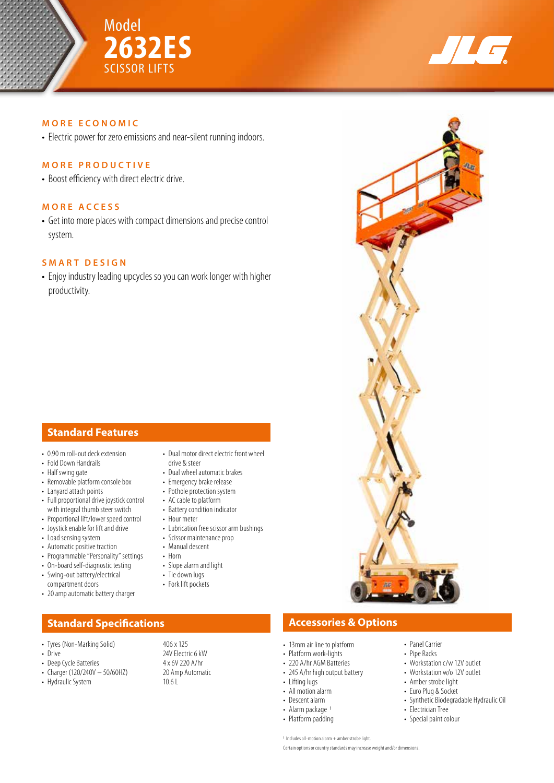



## **MORE ECONOMIC**

• Electric power for zero emissions and near-silent running indoors.

## **MORE PRODUCTIVE**

• Boost efficiency with direct electric drive.

## **MORE ACCESS**

• Get into more places with compact dimensions and precise control system.

## **SMART DESIGN**

• Enjoy industry leading upcycles so you can work longer with higher productivity.

# **Standard Features**

- 0.90 m roll-out deck extension
- Fold Down Handrails • Half swing gate
- Removable platform console box
- Lanyard attach points
- Full proportional drive joystick control with integral thumb steer switch
- Proportional lift/lower speed control
- Joystick enable for lift and drive
- Load sensing system
- Automatic positive traction
- Programmable "Personality" settings
- On-board self-diagnostic testing • Swing-out battery/electrical
- compartment doors
- 20 amp automatic battery charger

- Tyres (Non-Marking Solid) 406 x 125
- 
- 
- Charger (120/240V 50/60HZ) 20 Am<br>• Hydraulic System 10.6 L
- Hydraulic System
- Dual motor direct electric front wheel drive & steer
- Dual wheel automatic brakes
- Emergency brake release
- Pothole protection system
- AC cable to platform
- Battery condition indicator
- Hour meter
- Lubrication free scissor arm bushings
- Scissor maintenance prop
- Manual descent
- Horn • Slope alarm and light
- Tie down lugs
- 
- Fork lift pockets
- **Standard Specifications Accessories & Options** 
	- 13mm air line to platform
	- Platform work-lights
	- 220 A/hr AGM Batteries
	- 245 A/hr high output battery
	- Lifting lugs
	- All motion alarm
	- Descent alarm
	- Alarm package 1
	- Platform padding
		-
- Panel Carrier • Pipe Racks
- Workstation c/w 12V outlet • Workstation w/o 12V outlet
- Amber strobe light
- Euro Plug & Socket
- 
- Synthetic Biodegradable Hydraulic Oil
- Electrician Tree • Special paint colour
- 
- 1 Includes all-motion alarm + amber strobe light. Certain options or country standards may increase weight and/or dimensions.

# • Drive 24V Electric 6 kW<br>
• Deep Cycle Batteries 24 x 6V 220 A/hr

• Deep Cycle Batteries 4 x 6V 220 A/hr<br>• Charger (120/240V - 50/60HZ) 20 Amp Automatic